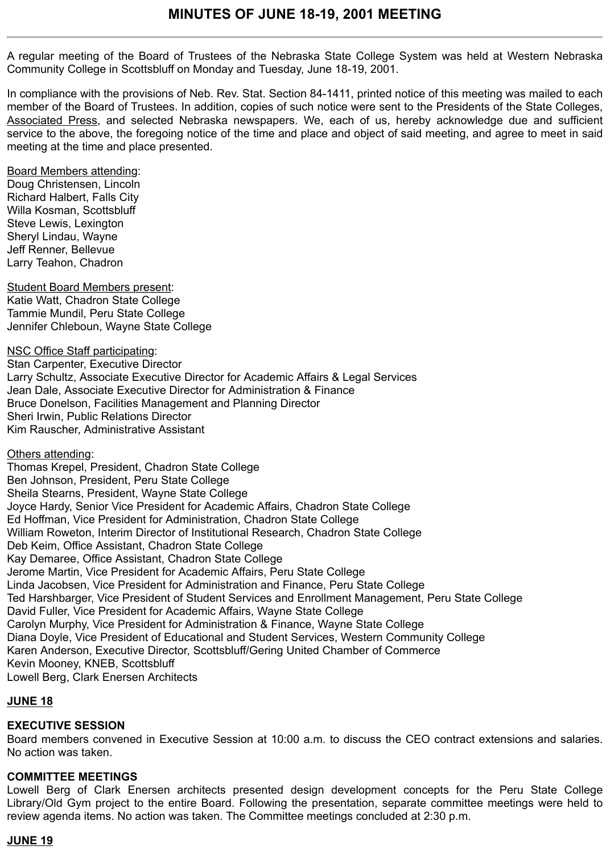A regular meeting of the Board of Trustees of the Nebraska State College System was held at Western Nebraska Community College in Scottsbluff on Monday and Tuesday, June 18-19, 2001.

In compliance with the provisions of Neb. Rev. Stat. Section 84-1411, printed notice of this meeting was mailed to each member of the Board of Trustees. In addition, copies of such notice were sent to the Presidents of the State Colleges, Associated Press, and selected Nebraska newspapers. We, each of us, hereby acknowledge due and sufficient service to the above, the foregoing notice of the time and place and object of said meeting, and agree to meet in said meeting at the time and place presented.

Board Members attending:

Doug Christensen, Lincoln Richard Halbert, Falls City Willa Kosman, Scottsbluff Steve Lewis, Lexington Sheryl Lindau, Wayne Jeff Renner, Bellevue Larry Teahon, Chadron

Student Board Members present: Katie Watt, Chadron State College Tammie Mundil, Peru State College Jennifer Chleboun, Wayne State College

NSC Office Staff participating: Stan Carpenter, Executive Director Larry Schultz, Associate Executive Director for Academic Affairs & Legal Services Jean Dale, Associate Executive Director for Administration & Finance Bruce Donelson, Facilities Management and Planning Director Sheri Irwin, Public Relations Director Kim Rauscher, Administrative Assistant

Others attending:

Thomas Krepel, President, Chadron State College Ben Johnson, President, Peru State College Sheila Stearns, President, Wayne State College Joyce Hardy, Senior Vice President for Academic Affairs, Chadron State College Ed Hoffman, Vice President for Administration, Chadron State College William Roweton, Interim Director of Institutional Research, Chadron State College Deb Keim, Office Assistant, Chadron State College Kay Demaree, Office Assistant, Chadron State College Jerome Martin, Vice President for Academic Affairs, Peru State College Linda Jacobsen, Vice President for Administration and Finance, Peru State College Ted Harshbarger, Vice President of Student Services and Enrollment Management, Peru State College David Fuller, Vice President for Academic Affairs, Wayne State College Carolyn Murphy, Vice President for Administration & Finance, Wayne State College Diana Doyle, Vice President of Educational and Student Services, Western Community College Karen Anderson, Executive Director, Scottsbluff/Gering United Chamber of Commerce Kevin Mooney, KNEB, Scottsbluff Lowell Berg, Clark Enersen Architects

# **JUNE 18**

# **EXECUTIVE SESSION**

Board members convened in Executive Session at 10:00 a.m. to discuss the CEO contract extensions and salaries. No action was taken.

## **COMMITTEE MEETINGS**

Lowell Berg of Clark Enersen architects presented design development concepts for the Peru State College Library/Old Gym project to the entire Board. Following the presentation, separate committee meetings were held to review agenda items. No action was taken. The Committee meetings concluded at 2:30 p.m.

# **JUNE 19**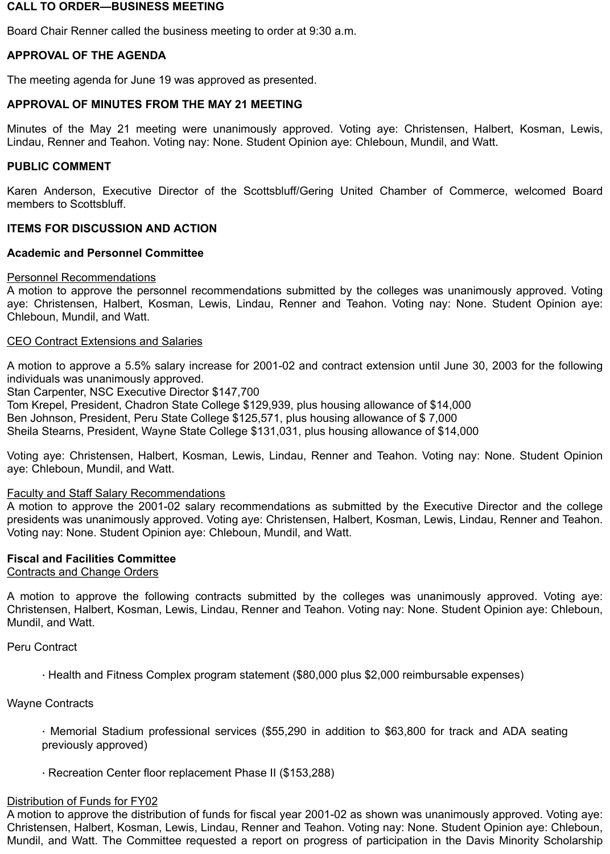## **CALL TO ORDER—BUSINESS MEETING**

Board Chair Renner called the business meeting to order at 9:30 a.m.

# **APPROVAL OF THE AGENDA**

The meeting agenda for June 19 was approved as presented.

## **APPROVAL OF MINUTES FROM THE MAY 21 MEETING**

Minutes of the May 21 meeting were unanimously approved. Voting aye: Christensen, Halbert, Kosman, Lewis, Lindau, Renner and Teahon. Voting nay: None. Student Opinion aye: Chleboun, Mundil, and Watt.

## **PUBLIC COMMENT**

Karen Anderson, Executive Director of the Scottsbluff/Gering United Chamber of Commerce, welcomed Board members to Scottsbluff.

## **ITEMS FOR DISCUSSION AND ACTION**

## **Academic and Personnel Committee**

#### Personnel Recommendations

A motion to approve the personnel recommendations submitted by the colleges was unanimously approved. Voting aye: Christensen, Halbert, Kosman, Lewis, Lindau, Renner and Teahon. Voting nay: None. Student Opinion aye: Chleboun, Mundil, and Watt.

## CEO Contract Extensions and Salaries

A motion to approve a 5.5% salary increase for 2001-02 and contract extension until June 30, 2003 for the following individuals was unanimously approved.

Stan Carpenter, NSC Executive Director \$147,700

Tom Krepel, President, Chadron State College \$129,939, plus housing allowance of \$14,000 Ben Johnson, President, Peru State College \$125,571, plus housing allowance of \$ 7,000

Sheila Stearns, President, Wayne State College \$131,031, plus housing allowance of \$14,000

Voting aye: Christensen, Halbert, Kosman, Lewis, Lindau, Renner and Teahon. Voting nay: None. Student Opinion aye: Chleboun, Mundil, and Watt.

#### Faculty and Staff Salary Recommendations

A motion to approve the 2001-02 salary recommendations as submitted by the Executive Director and the college presidents was unanimously approved. Voting aye: Christensen, Halbert, Kosman, Lewis, Lindau, Renner and Teahon. Voting nay: None. Student Opinion aye: Chleboun, Mundil, and Watt.

#### **Fiscal and Facilities Committee**

Contracts and Change Orders

A motion to approve the following contracts submitted by the colleges was unanimously approved. Voting aye: Christensen, Halbert, Kosman, Lewis, Lindau, Renner and Teahon. Voting nay: None. Student Opinion aye: Chleboun, Mundil, and Watt.

Peru Contract

· Health and Fitness Complex program statement (\$80,000 plus \$2,000 reimbursable expenses)

Wayne Contracts

· Memorial Stadium professional services (\$55,290 in addition to \$63,800 for track and ADA seating previously approved)

· Recreation Center floor replacement Phase II (\$153,288)

#### Distribution of Funds for FY02

A motion to approve the distribution of funds for fiscal year 2001-02 as shown was unanimously approved. Voting aye: Christensen, Halbert, Kosman, Lewis, Lindau, Renner and Teahon. Voting nay: None. Student Opinion aye: Chleboun, Mundil, and Watt. The Committee requested a report on progress of participation in the Davis Minority Scholarship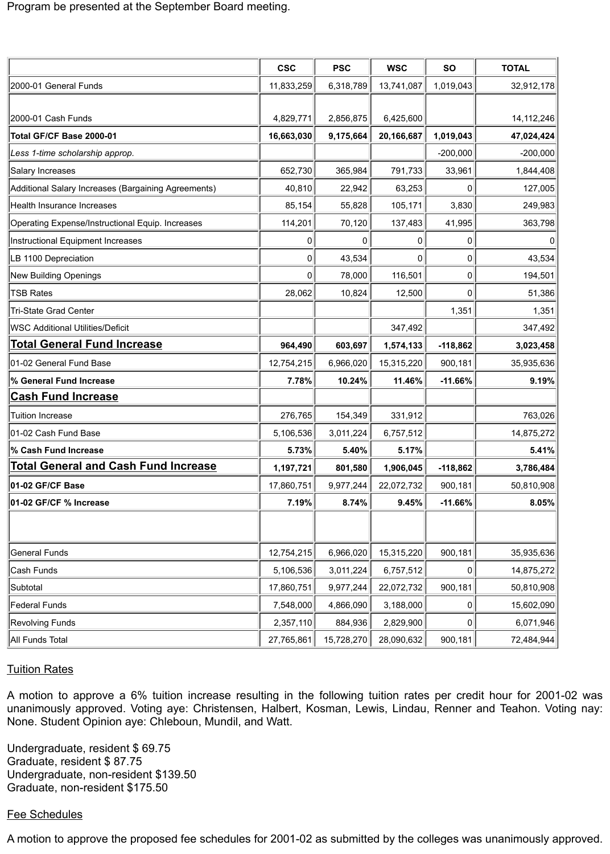|                                                     | <b>CSC</b> | <b>PSC</b> | <b>WSC</b> | <b>SO</b>  | <b>TOTAL</b> |
|-----------------------------------------------------|------------|------------|------------|------------|--------------|
| 2000-01 General Funds                               | 11,833,259 | 6,318,789  | 13,741,087 | 1,019,043  | 32,912,178   |
|                                                     |            |            |            |            |              |
| 2000-01 Cash Funds                                  | 4,829,771  | 2,856,875  | 6,425,600  |            | 14, 112, 246 |
| Total GF/CF Base 2000-01                            | 16,663,030 | 9,175,664  | 20,166,687 | 1,019,043  | 47,024,424   |
| Less 1-time scholarship approp.                     |            |            |            | $-200,000$ | $-200,000$   |
| Salary Increases                                    | 652,730    | 365,984    | 791,733    | 33,961     | 1,844,408    |
| Additional Salary Increases (Bargaining Agreements) | 40,810     | 22,942     | 63,253     | 0          | 127,005      |
| Health Insurance Increases                          | 85,154     | 55,828     | 105,171    | 3,830      | 249,983      |
| Operating Expense/Instructional Equip. Increases    | 114,201    | 70,120     | 137,483    | 41,995     | 363,798      |
| Instructional Equipment Increases                   | 0          | 0          | 0          | 0          | 0            |
| LB 1100 Depreciation                                | 0          | 43,534     | 0          | 0          | 43,534       |
| New Building Openings                               | 0          | 78,000     | 116,501    | 0          | 194,501      |
| <b>TSB Rates</b>                                    | 28,062     | 10,824     | 12,500     | 0          | 51,386       |
| Tri-State Grad Center                               |            |            |            | 1,351      | 1,351        |
| <b>WSC Additional Utilities/Deficit</b>             |            |            | 347,492    |            | 347,492      |
| <b>Total General Fund Increase</b>                  | 964,490    | 603,697    | 1,574,133  | $-118,862$ | 3,023,458    |
| 01-02 General Fund Base                             | 12,754,215 | 6,966,020  | 15,315,220 | 900,181    | 35,935,636   |
| % General Fund Increase                             | 7.78%      | 10.24%     | 11.46%     | $-11.66%$  | 9.19%        |
| <b>Cash Fund Increase</b>                           |            |            |            |            |              |
| Tuition Increase                                    | 276,765    | 154,349    | 331,912    |            | 763,026      |
| 01-02 Cash Fund Base                                | 5,106,536  | 3,011,224  | 6,757,512  |            | 14,875,272   |
| % Cash Fund Increase                                | 5.73%      | 5.40%      | 5.17%      |            | 5.41%        |
| <b>Total General and Cash Fund Increase</b>         | 1,197,721  | 801,580    | 1,906,045  | $-118,862$ | 3,786,484    |
| 01-02 GF/CF Base                                    | 17,860,751 | 9,977,244  | 22,072,732 | 900,181    | 50,810,908   |
| 01-02 GF/CF % Increase                              | 7.19%      | 8.74%      | 9.45%      | $-11.66%$  | 8.05%        |
|                                                     |            |            |            |            |              |
| General Funds                                       | 12,754,215 | 6,966,020  | 15,315,220 | 900,181    | 35,935,636   |
| Cash Funds                                          | 5,106,536  | 3,011,224  | 6,757,512  | 0          | 14,875,272   |
| Subtotal                                            | 17,860,751 | 9,977,244  | 22,072,732 | 900,181    | 50,810,908   |
| Federal Funds                                       | 7,548,000  | 4,866,090  | 3,188,000  | 0          | 15,602,090   |
| Revolving Funds                                     | 2,357,110  | 884,936    | 2,829,900  | 0          | 6,071,946    |
| All Funds Total                                     | 27,765,861 | 15,728,270 | 28,090,632 | 900,181    | 72,484,944   |

#### **Tuition Rates**

A motion to approve a 6% tuition increase resulting in the following tuition rates per credit hour for 2001-02 was unanimously approved. Voting aye: Christensen, Halbert, Kosman, Lewis, Lindau, Renner and Teahon. Voting nay: None. Student Opinion aye: Chleboun, Mundil, and Watt.

Undergraduate, resident \$ 69.75 Graduate, resident \$ 87.75 Undergraduate, non-resident \$139.50 Graduate, non-resident \$175.50

#### Fee Schedules

A motion to approve the proposed fee schedules for 2001-02 as submitted by the colleges was unanimously approved.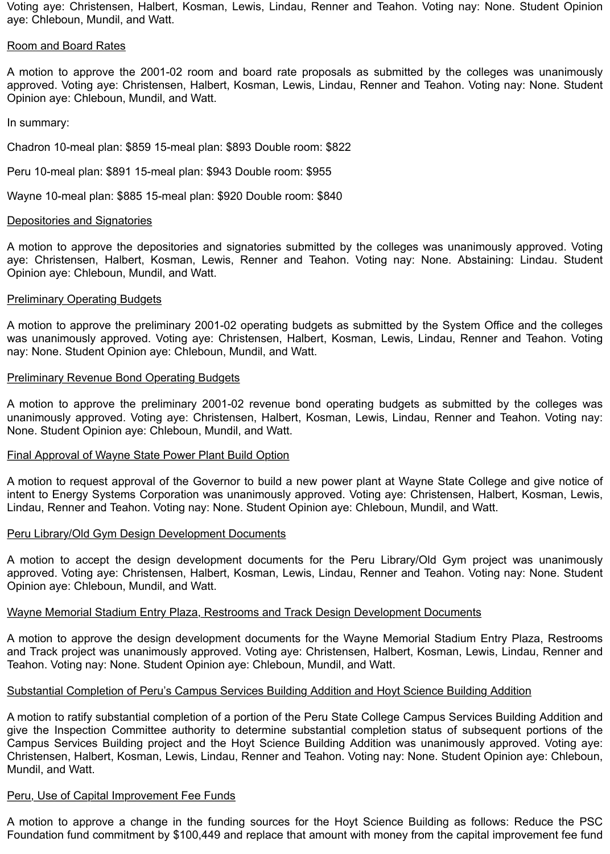Voting aye: Christensen, Halbert, Kosman, Lewis, Lindau, Renner and Teahon. Voting nay: None. Student Opinion aye: Chleboun, Mundil, and Watt.

#### Room and Board Rates

A motion to approve the 2001-02 room and board rate proposals as submitted by the colleges was unanimously approved. Voting aye: Christensen, Halbert, Kosman, Lewis, Lindau, Renner and Teahon. Voting nay: None. Student Opinion aye: Chleboun, Mundil, and Watt.

In summary:

Chadron 10-meal plan: \$859 15-meal plan: \$893 Double room: \$822

Peru 10-meal plan: \$891 15-meal plan: \$943 Double room: \$955

Wayne 10-meal plan: \$885 15-meal plan: \$920 Double room: \$840

## Depositories and Signatories

A motion to approve the depositories and signatories submitted by the colleges was unanimously approved. Voting aye: Christensen, Halbert, Kosman, Lewis, Renner and Teahon. Voting nay: None. Abstaining: Lindau. Student Opinion aye: Chleboun, Mundil, and Watt.

## **Preliminary Operating Budgets**

A motion to approve the preliminary 2001-02 operating budgets as submitted by the System Office and the colleges was unanimously approved. Voting aye: Christensen, Halbert, Kosman, Lewis, Lindau, Renner and Teahon. Voting nay: None. Student Opinion aye: Chleboun, Mundil, and Watt.

## **Preliminary Revenue Bond Operating Budgets**

A motion to approve the preliminary 2001-02 revenue bond operating budgets as submitted by the colleges was unanimously approved. Voting aye: Christensen, Halbert, Kosman, Lewis, Lindau, Renner and Teahon. Voting nay: None. Student Opinion aye: Chleboun, Mundil, and Watt.

#### Final Approval of Wayne State Power Plant Build Option

A motion to request approval of the Governor to build a new power plant at Wayne State College and give notice of intent to Energy Systems Corporation was unanimously approved. Voting aye: Christensen, Halbert, Kosman, Lewis, Lindau, Renner and Teahon. Voting nay: None. Student Opinion aye: Chleboun, Mundil, and Watt.

#### Peru Library/Old Gym Design Development Documents

A motion to accept the design development documents for the Peru Library/Old Gym project was unanimously approved. Voting aye: Christensen, Halbert, Kosman, Lewis, Lindau, Renner and Teahon. Voting nay: None. Student Opinion aye: Chleboun, Mundil, and Watt.

#### Wayne Memorial Stadium Entry Plaza, Restrooms and Track Design Development Documents

A motion to approve the design development documents for the Wayne Memorial Stadium Entry Plaza, Restrooms and Track project was unanimously approved. Voting aye: Christensen, Halbert, Kosman, Lewis, Lindau, Renner and Teahon. Voting nay: None. Student Opinion aye: Chleboun, Mundil, and Watt.

## Substantial Completion of Peru's Campus Services Building Addition and Hoyt Science Building Addition

A motion to ratify substantial completion of a portion of the Peru State College Campus Services Building Addition and give the Inspection Committee authority to determine substantial completion status of subsequent portions of the Campus Services Building project and the Hoyt Science Building Addition was unanimously approved. Voting aye: Christensen, Halbert, Kosman, Lewis, Lindau, Renner and Teahon. Voting nay: None. Student Opinion aye: Chleboun, Mundil, and Watt.

# Peru, Use of Capital Improvement Fee Funds

A motion to approve a change in the funding sources for the Hoyt Science Building as follows: Reduce the PSC Foundation fund commitment by \$100,449 and replace that amount with money from the capital improvement fee fund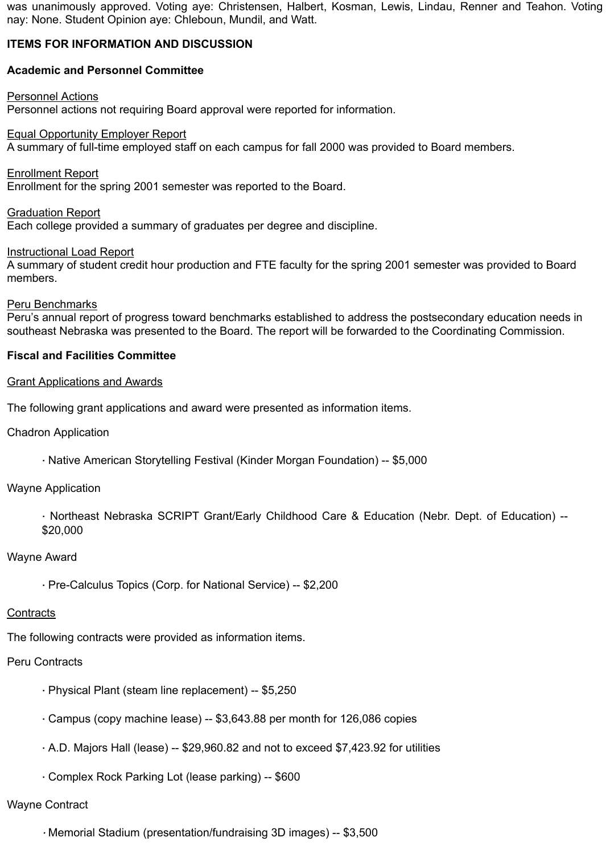was unanimously approved. Voting aye: Christensen, Halbert, Kosman, Lewis, Lindau, Renner and Teahon. Voting nay: None. Student Opinion aye: Chleboun, Mundil, and Watt.

# **ITEMS FOR INFORMATION AND DISCUSSION**

# **Academic and Personnel Committee**

#### Personnel Actions

Personnel actions not requiring Board approval were reported for information.

## Equal Opportunity Employer Report

A summary of full-time employed staff on each campus for fall 2000 was provided to Board members.

Enrollment Report

Enrollment for the spring 2001 semester was reported to the Board.

Graduation Report

Each college provided a summary of graduates per degree and discipline.

## **Instructional Load Report**

A summary of student credit hour production and FTE faculty for the spring 2001 semester was provided to Board members.

## Peru Benchmarks

Peru's annual report of progress toward benchmarks established to address the postsecondary education needs in southeast Nebraska was presented to the Board. The report will be forwarded to the Coordinating Commission.

## **Fiscal and Facilities Committee**

## Grant Applications and Awards

The following grant applications and award were presented as information items.

Chadron Application

· Native American Storytelling Festival (Kinder Morgan Foundation) -- \$5,000

## Wayne Application

· Northeast Nebraska SCRIPT Grant/Early Childhood Care & Education (Nebr. Dept. of Education) -- \$20,000

## Wayne Award

· Pre-Calculus Topics (Corp. for National Service) -- \$2,200

#### **Contracts**

The following contracts were provided as information items.

# Peru Contracts

- · Physical Plant (steam line replacement) -- \$5,250
- · Campus (copy machine lease) -- \$3,643.88 per month for 126,086 copies
- · A.D. Majors Hall (lease) -- \$29,960.82 and not to exceed \$7,423.92 for utilities
- · Complex Rock Parking Lot (lease parking) -- \$600

# Wayne Contract

· Memorial Stadium (presentation/fundraising 3D images) -- \$3,500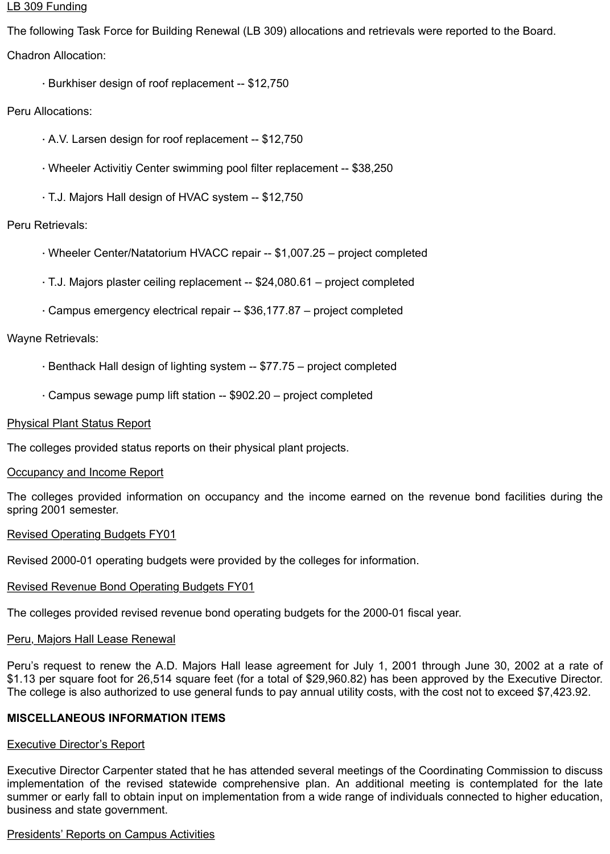#### LB 309 Funding

The following Task Force for Building Renewal (LB 309) allocations and retrievals were reported to the Board. Chadron Allocation:

· Burkhiser design of roof replacement -- \$12,750

# Peru Allocations:

- · A.V. Larsen design for roof replacement -- \$12,750
- · Wheeler Activitiy Center swimming pool filter replacement -- \$38,250
- · T.J. Majors Hall design of HVAC system -- \$12,750

# Peru Retrievals:

- · Wheeler Center/Natatorium HVACC repair -- \$1,007.25 project completed
- · T.J. Majors plaster ceiling replacement -- \$24,080.61 project completed
- · Campus emergency electrical repair -- \$36,177.87 project completed

## Wayne Retrievals:

- · Benthack Hall design of lighting system -- \$77.75 project completed
- · Campus sewage pump lift station -- \$902.20 project completed

## Physical Plant Status Report

The colleges provided status reports on their physical plant projects.

#### **Occupancy and Income Report**

The colleges provided information on occupancy and the income earned on the revenue bond facilities during the spring 2001 semester.

#### Revised Operating Budgets FY01

Revised 2000-01 operating budgets were provided by the colleges for information.

#### Revised Revenue Bond Operating Budgets FY01

The colleges provided revised revenue bond operating budgets for the 2000-01 fiscal year.

## Peru, Majors Hall Lease Renewal

Peru's request to renew the A.D. Majors Hall lease agreement for July 1, 2001 through June 30, 2002 at a rate of \$1.13 per square foot for 26,514 square feet (for a total of \$29,960.82) has been approved by the Executive Director. The college is also authorized to use general funds to pay annual utility costs, with the cost not to exceed \$7,423.92.

## **MISCELLANEOUS INFORMATION ITEMS**

## **Executive Director's Report**

Executive Director Carpenter stated that he has attended several meetings of the Coordinating Commission to discuss implementation of the revised statewide comprehensive plan. An additional meeting is contemplated for the late summer or early fall to obtain input on implementation from a wide range of individuals connected to higher education, business and state government.

## Presidents' Reports on Campus Activities